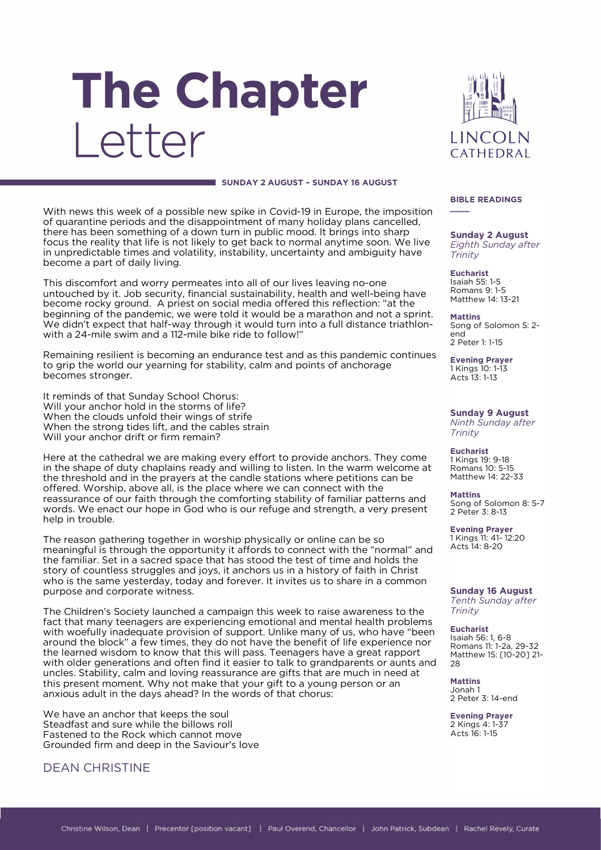# The Chapter Letter



#### **SUNDAY 2 AUGUST – SUNDAY 16 AUGUST**

With news this week of a possible new spike in Covid-19 in Europe, the imposition of quarantine periods and the disappointment of many holiday plans cancelled, there has been something of a down turn in public mood. It brings into sharp focus the reality that life is not likely to get back to normal anytime soon. We live in unpredictable times and volatility, instability, uncertainty and ambiguity have become a part of daily living.

This discomfort and worry permeates into all of our lives leaving no-one untouched by it. Job security, financial sustainability, health and well-being have become rocky ground. A priest on social media offered this reflection: "at the beginning of the pandemic, we were told it would be a marathon and not a sprint. We didn't expect that half-way through it would turn into a full distance triathlonwith a 24-mile swim and a 112-mile bike ride to follow!"

Remaining resilient is becoming an endurance test and as this pandemic continues to grip the world our yearning for stability, calm and points of anchorage becomes stronger.

It reminds of that Sunday School Chorus: Will your anchor hold in the storms of life? When the clouds unfold their wings of strife When the strong tides lift, and the cables strain Will your anchor drift or firm remain?

Here at the cathedral we are making every effort to provide anchors. They come in the shape of duty chaplains ready and willing to listen. In the warm welcome at the threshold and in the prayers at the candle stations where petitions can be offered. Worship, above all, is the place where we can connect with the reassurance of our faith through the comforting stability of familiar patterns and words. We enact our hope in God who is our refuge and strength, a very present help in trouble.

The reason gathering together in worship physically or online can be so meaningful is through the opportunity it affords to connect with the "normal" and the familiar. Set in a sacred space that has stood the test of time and holds the story of countless struggles and joys, it anchors us in a history of faith in Christ who is the same yesterday, today and forever. It invites us to share in a common purpose and corporate witness.

The Children's Society launched a campaign this week to raise awareness to the fact that many teenagers are experiencing emotional and mental health problems with woefully inadequate provision of support. Unlike many of us, who have "been around the block" a few times, they do not have the benefit of life experience nor the learned wisdom to know that this will pass. Teenagers have a great rapport with older generations and often find it easier to talk to grandparents or aunts and uncles. Stability, calm and loving reassurance are gifts that are much in need at this present moment. Why not make that your gift to a young person or an anxious adult in the days ahead? In the words of that chorus:

We have an anchor that keeps the soul Steadfast and sure while the billows roll Fastened to the Rock which cannot move Grounded firm and deep in the Saviour's love

## DEAN CHRISTINE

#### **BIBLE READINGS**

**\_\_\_\_**

**Sunday 2 August** *Eighth Sunday after Trinity*

**Eucharist** Isaiah 55: 1-5 Romans 9: 1-5 Matthew 14: 13-21

**Mattins** Song of Solomon 5: 2 end 2 Peter 1: 1-15

**Evening Prayer** 1 Kings 10: 1-13 Acts 13: 1-13

**Sunday 9 August** *Ninth Sunday after Trinity*

**Eucharist** 1 Kings 19: 9-18 Romans 10: 5-15 Matthew 14: 22-33

**Mattins** Song of Solomon 8: 5-7 2 Peter 3: 8-13

**Evening Prayer** 1 Kings 11: 41- 12:20 Acts 14: 8-20

**Sunday 16 August** *Tenth Sunday after Trinity*

**Eucharist** Isaiah 56: 1, 6-8 Romans 11: 1-2a, 29-32 Matthew 15: [10-20] 21- 28

**Mattins** Jonah 1 2 Peter 3: 14-end

**Evening Prayer** 2 Kings 4: 1-37 Acts 16: 1-15